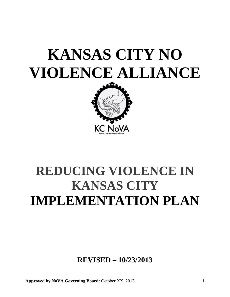# **KANSAS CITY NO VIOLENCE ALLIANCE**

<span id="page-0-0"></span>

## **REDUCING VIOLENCE IN KANSAS CITY IMPLEMENTATION PLAN**

**REVISED – 10/23/2013**

**Approved by NoVA Governing Board:** October XX, 2013 1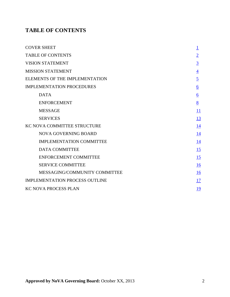### <span id="page-1-0"></span>**TABLE OF CONTENTS**

| <b>COVER SHEET</b>                    |                 |
|---------------------------------------|-----------------|
| <b>TABLE OF CONTENTS</b>              | $\overline{2}$  |
| <b>VISION STATEMENT</b>               | $\overline{3}$  |
| <b>MISSION STATEMENT</b>              | $\overline{4}$  |
| ELEMENTS OF THE IMPLEMENTATION        | $\overline{5}$  |
| <b>IMPLEMENTATION PROCEDURES</b>      | $\underline{6}$ |
| <b>DATA</b>                           | $\underline{6}$ |
| <b>ENFORCEMENT</b>                    | 8               |
| <b>MESSAGE</b>                        | 11              |
| <b>SERVICES</b>                       | 13              |
| KC NOVA COMMITTEE STRUCTURE           | 14              |
| <b>NOVA GOVERNING BOARD</b>           | 14              |
| <b>IMPLEMENTATION COMMITTEE</b>       | 14              |
| <b>DATA COMMITTEE</b>                 | 15              |
| <b>ENFORCEMENT COMMITTEE</b>          | 15              |
| <b>SERVICE COMMITTEE</b>              | 16              |
| MESSAGING/COMMUNITY COMMITTEE         | 16              |
| <b>IMPLEMENTATION PROCESS OUTLINE</b> | 17              |
| <b>KC NOVA PROCESS PLAN</b>           | <u>19</u>       |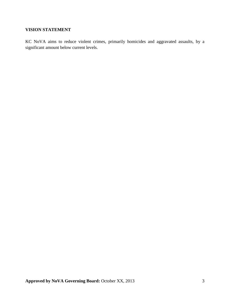#### <span id="page-2-0"></span>**VISION STATEMENT**

KC NoVA aims to reduce violent crimes, primarily homicides and aggravated assaults, by a significant amount below current levels.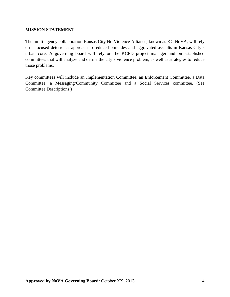#### <span id="page-3-0"></span>**MISSION STATEMENT**

The multi-agency collaboration Kansas City No Violence Alliance, known as KC NoVA, will rely on a focused deterrence approach to reduce homicides and aggravated assaults in Kansas City's urban core. A governing board will rely on the KCPD project manager and on established committees that will analyze and define the city's violence problem, as well as strategies to reduce those problems.

Key committees will include an Implementation Committee, an Enforcement Committee, a Data Committee, a Messaging/Community Committee and a Social Services committee. (See Committee Descriptions.)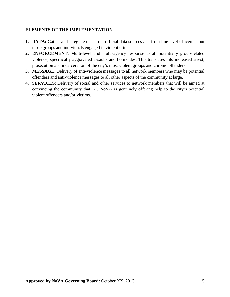#### <span id="page-4-0"></span>**ELEMENTS OF THE IMPLEMENTATION**

- **1. DATA:** Gather and integrate data from official data sources and from line level officers about those groups and individuals engaged in violent crime.
- **2. ENFORCEMENT**: Multi-level and multi-agency response to all potentially group-related violence, specifically aggravated assaults and homicides. This translates into increased arrest, prosecution and incarceration of the city's most violent groups and chronic offenders.
- **3. MESSAGE**: Delivery of anti-violence messages to all network members who may be potential offenders and anti-violence messages to all other aspects of the community at large.
- **4. SERVICES**: Delivery of social and other services to network members that will be aimed at convincing the community that KC NoVA is genuinely offering help to the city's potential violent offenders and/or victims.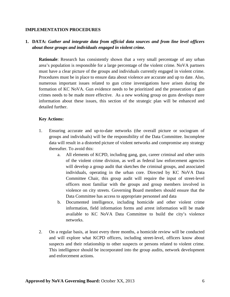#### **IMPLEMENTATION PROCEDURES**

#### <span id="page-5-0"></span>**1. DATA:** *Gather and integrate data from official data sources and from line level officers about those groups and individuals engaged in violent crime.*

**Rationale**: Research has consistently shown that a very small percentage of any urban area's population is responsible for a large percentage of the violent crime. NoVA partners must have a clear picture of the groups and individuals currently engaged in violent crime. Procedures must be in place to ensure data about violence are accurate and up to date. Also, numerous important issues related to gun crime investigations have arisen during the formation of KC NoVA. Gun evidence needs to be prioritized and the prosecution of gun crimes needs to be made more effective. As a new working group on guns develops more information about these issues, this section of the strategic plan will be enhanced and detailed further.

#### **Key Actions:**

- 1. Ensuring accurate and up-to-date networks (the overall picture or sociogram of groups and individuals) will be the responsibility of the Data Committee. Incomplete data will result in a distorted picture of violent networks and compromise any strategy thereafter. To avoid this:
	- a. All elements of KCPD, including gang, gun, career criminal and other units of the violent crime division, as well as federal law enforcement agencies will develop a group audit that sketches the criminal groups, and associated individuals, operating in the urban core. Directed by KC NoVA Data Committee Chair, this group audit will require the input of street-level officers most familiar with the groups and group members involved in violence on city streets. Governing Board members should ensure that the Data Committee has access to appropriate personnel and data
	- b. Documented intelligence, including homicide and other violent crime information, field information forms and arrest information will be made available to KC NoVA Data Committee to build the city's violence networks.
- 2. On a regular basis, at least every three months, a homicide review will be conducted and will explore what KCPD officers, including street-level, officers know about suspects and their relationship to other suspects or persons related to violent crime. This intelligence should be incorporated into the group audits, network development and enforcement actions.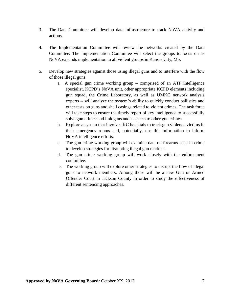- 3. The Data Committee will develop data infrastructure to track NoVA activity and actions.
- 4. The Implementation Committee will review the networks created by the Data Committee. The Implementation Committee will select the groups to focus on as NoVA expands implementation to all violent groups in Kansas City, Mo.
- 5. Develop new strategies against those using illegal guns and to interfere with the flow of those illegal guns.
	- a. A special gun crime working group comprised of an ATF intelligence specialist, KCPD's NoVA unit, other appropriate KCPD elements including gun squad, the Crime Laboratory, as well as UMKC network analysis experts -- will analyze the system's ability to quickly conduct ballistics and other tests on guns and shell casings related to violent crimes. The task force will take steps to ensure the timely report of key intelligence to successfully solve gun crimes and link guns and suspects to other gun crimes.
	- b. Explore a system that involves KC hospitals to track gun violence victims in their emergency rooms and, potentially, use this information to inform NoVA intelligence efforts.
	- c. The gun crime working group will examine data on firearms used in crime to develop strategies for disrupting illegal gun markets.
	- d. The gun crime working group will work closely with the enforcement committee.
	- e. The working group will explore other strategies to disrupt the flow of illegal guns to network members. Among those will be a new Gun or Armed Offender Court in Jackson County in order to study the effectiveness of different sentencing approaches.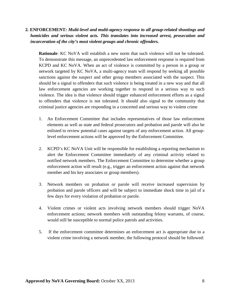#### <span id="page-7-0"></span>**2***.* **ENFORCEMENT***: Multi-level and multi-agency response to all group-related shootings and homicides and serious violent acts. This translates into increased arrest, prosecution and incarceration of the city's most violent groups and chronic offenders.*

**Rationale**: KC NoVA will establish a new norm that such violence will not be tolerated. To demonstrate this message, an unprecedented law enforcement response is required from KCPD and KC NoVA. When an act of violence is committed by a person in a group or network targeted by KC NoVA, a multi-agency team will respond by seeking all possible sanctions against the suspect and other group members associated with the suspect. This should be a signal to offenders that such violence is being treated in a new way and that all law enforcement agencies are working together to respond in a serious way to such violence. The idea is that violence should trigger enhanced enforcement efforts as a signal to offenders that violence is not tolerated. It should also signal to the community that criminal justice agencies are responding in a concerted and serious way to violent crime

- 1. An Enforcement Committee that includes representatives of those law enforcement elements as well as state and federal prosecutors and probation and parole will also be enlisted to review potential cases against targets of any enforcement action. All grouplevel enforcement actions will be approved by the Enforcement Committee.
- 2. KCPD's KC NoVA Unit will be responsible for establishing a reporting mechanism to alert the Enforcement Committee immediately of any criminal activity related to notified network members. The Enforcement Committee to determine whether a group enforcement action will result (e.g., trigger an enforcement action against that network member and his key associates or group members).
- 3. Network members on probation or parole will receive increased supervision by probation and parole officers and will be subject to immediate shock time in jail of a few days for every violation of probation or parole.
- 4. Violent crimes or violent acts involving network members should trigger NoVA enforcement actions; network members with outstanding felony warrants, of course, would still be susceptible to normal police patrols and activities.
- 5. If the enforcement committee determines an enforcement act is appropriate due to a violent crime involving a network member, the following protocol should be followed: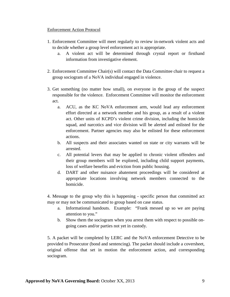#### Enforcement Action Protocol

- 1. Enforcement Committee will meet regularly to review in-network violent acts and to decide whether a group level enforcement act is appropriate.
	- a. A violent act will be determined through crystal report or firsthand information from investigative element.
- 2. Enforcement Committee Chair(s) will contact the Data Committee chair to request a group sociogram of a NoVA individual engaged in violence.
- 3. Get something (no matter how small), on everyone in the group of the suspect responsible for the violence. Enforcement Committee will monitor the enforcement act.
	- a. ACU, as the KC NoVA enforcement arm, would lead any enforcement effort directed at a network member and his group, as a result of a violent act. Other units of KCPD's violent crime division, including the homicide squad, and narcotics and vice division will be alerted and enlisted for the enforcement. Partner agencies may also be enlisted for these enforcement actions.
	- b. All suspects and their associates wanted on state or city warrants will be arrested.
	- c. All potential levers that may be applied to chronic violent offenders and their group members will be explored, including child support payments, loss of welfare benefits and eviction from public housing.
	- d. DART and other nuisance abatement proceedings will be considered at appropriate locations involving network members connected to the homicide.

4. Message to the group why this is happening - specific person that committed act may or may not be communicated to group based on case status.

- a. Informational handouts. Example: "Frank messed up so we are paying attention to you."
- b. Show them the sociogram when you arrest them with respect to possible ongoing cases and/or parties not yet in custody.

5. A packet will be completed by LERC and the NoVA enforcement Detective to be provided to Prosecutor (bond and sentencing). The packet should include a coversheet, original offense that set in motion the enforcement action, and corresponding sociogram.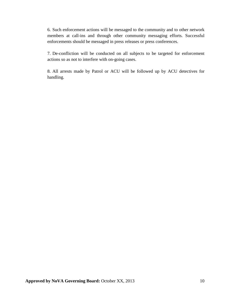6. Such enforcement actions will be messaged to the community and to other network members at call-ins and through other community messaging efforts. Successful enforcements should be messaged in press releases or press conferences.

7. De-confliction will be conducted on all subjects to be targeted for enforcement actions so as not to interfere with on-going cases.

8. All arrests made by Patrol or ACU will be followed up by ACU detectives for handling.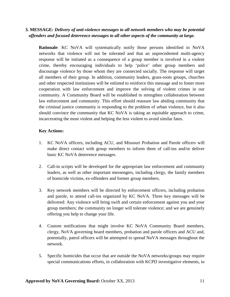#### <span id="page-10-0"></span>**3***.* **MESSAGE***: Delivery of anti-violence messages to all network members who may be potential offenders and focused deterrence messages to all other aspects of the community at large.*

**Rationale**: KC NoVA will systematically notify those persons identified in NoVA networks that violence will not be tolerated and that an unprecedented multi-agency response will be initiated as a consequence of a group member is involved in a violent crime, thereby encouraging individuals to help 'police' other group members and discourage violence by those whom they are connected socially. The response will target all members of their group. In addition, community leaders, grass-roots groups, churches and other respected institutions will be enlisted to reinforce this message and to foster more cooperation with law enforcement and improve the solving of violent crimes in our community. A Community Board will be established to strengthen collaboration between law enforcement and community. This effort should reassure law abiding community that the criminal justice community is responding to the problem of urban violence, but it also should convince the community that KC NoVA is taking an equitable approach to crime, incarcerating the most violent and helping the less violent to avoid similar fates.

#### **Key Actions:**

- 1. KC NoVA officers, including ACU, and Missouri Probation and Parole officers will make direct contact with group members to inform them of call-ins and/or deliver basic KC NoVA deterrence messages.
- 2. Call-in scripts will be developed for the appropriate law enforcement and community leaders, as well as other important messengers, including clergy, the family members of homicide victims, ex-offenders and former group members.
- 3. Key network members will be directed by enforcement officers, including probation and parole, to attend call-ins organized by KC NoVA. Three key messages will be delivered: Any violence will bring swift and certain enforcement against you and your group members; the community no longer will tolerate violence; and we are genuinely offering you help to change your life.
- 4. Custom notifications that might involve KC NoVA Community Board members, clergy, NoVA governing board members, probation and parole officers and ACU and, potentially, patrol officers will be attempted to spread NoVA messages throughout the network.
- 5. Specific homicides that occur that are outside the NoVA networks/groups may require special communications efforts, in collaboration with KCPD investigative elements, to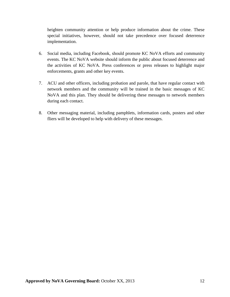heighten community attention or help produce information about the crime. These special initiatives, however, should not take precedence over focused deterrence implementation.

- 6. Social media, including Facebook, should promote KC NoVA efforts and community events. The KC NoVA website should inform the public about focused deterrence and the activities of KC NoVA. Press conferences or press releases to highlight major enforcements, grants and other key events.
- 7. ACU and other officers, including probation and parole, that have regular contact with network members and the community will be trained in the basic messages of KC NoVA and this plan. They should be delivering these messages to network members during each contact.
- 8. Other messaging material, including pamphlets, information cards, posters and other fliers will be developed to help with delivery of these messages.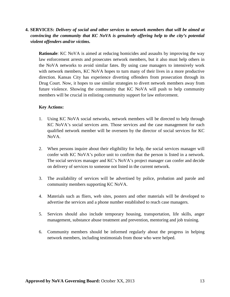#### <span id="page-12-0"></span>**4. SERVICES:** *Delivery of social and other services to network members that will be aimed at convincing the community that KC NoVA is genuinely offering help to the city's potential violent offenders and/or victims.*

**Rationale**: KC NoVA is aimed at reducing homicides and assaults by improving the way law enforcement arrests and prosecutes network members, but it also must help others in the NoVA networks to avoid similar fates. By using case managers to intensively work with network members, KC NoVA hopes to turn many of their lives in a more productive direction. Kansas City has experience diverting offenders from prosecution through its Drug Court. Now, it hopes to use similar strategies to divert network members away from future violence. Showing the community that KC NoVA will push to help community members will be crucial in enlisting community support for law enforcement.

#### **Key Actions:**

- 1. Using KC NoVA social networks, network members will be directed to help through KC NoVA's social services arm. Those services and the case management for each qualified network member will be overseen by the director of social services for KC NoVA.
- 2. When persons inquire about their eligibility for help, the social services manager will confer with KC NoVA's police unit to confirm that the person is listed in a network. The social services manager and KC's NoVA's project manager can confer and decide on delivery of services to someone not listed in the current network.
- 3. The availability of services will be advertised by police, probation and parole and community members supporting KC NoVA.
- 4. Materials such as fliers, web sites, posters and other materials will be developed to advertise the services and a phone number established to reach case managers.
- 5. Services should also include temporary housing, transportation, life skills, anger management, substance abuse treatment and prevention, mentoring and job training.
- 6. Community members should be informed regularly about the progress in helping network members, including testimonials from those who were helped.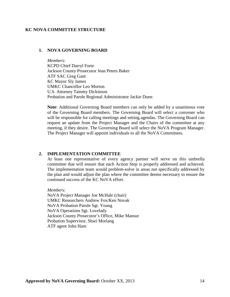#### **KC NOVA COMMITTEE STRUCTURE**

#### <span id="page-13-0"></span>**1. NOVA GOVERNING BOARD**

<span id="page-13-1"></span>*Members:* KCPD Chief Darryl Forte Jackson County Prosecutor Jean Peters Baker ATF SAC Greg Gant KC Mayor Sly James UMKC Chancellor Leo Morton U.S. Attorney Tammy Dickinson Probation and Parole Regional Administrator Jackie Dunn

**Note**: Additional Governing Board members can only be added by a unanimous vote of the Governing Board members. The Governing Board will select a convener who will be responsible for calling meetings and setting agendas. The Governing Board can request an update from the Project Manager and the Chairs of the committee at any meeting, if they desire. The Governing Board will select the NoVA Program Manager. The Project Manager will appoint individuals to all the NoVA Committees.

#### **2. IMPLEMENTATION COMMITTEE**

<span id="page-13-2"></span>At least one representative of every agency partner will serve on this umbrella committee that will ensure that each Action Step is properly addressed and achieved. The implementation team would problem-solve in areas not specifically addressed by the plan and would adjust the plan where the committee deems necessary to ensure the continued success of the KC NoVA effort.

*Members:* NoVA Project Manager Joe McHale (chair) UMKC Researchers Andrew Fox/Ken Novak NoVA Probation Parole Sgt. Young NoVA Operations Sgt. Lovelady Jackson County Prosecutor's Office, Mike Mansur Probation Supervisor, Shari Morlang ATF agent John Ham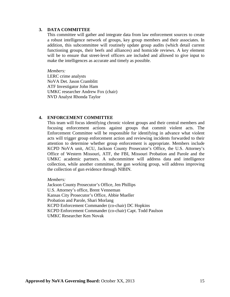#### **3. DATA COMMITTEE**

This committee will gather and integrate data from law enforcement sources to create a robust intelligence network of groups, key group members and their associates. In addition, this subcommittee will routinely update group audits (which detail current functioning groups, their beefs and alliances) and homicide reviews. A key element will be to ensure that street-level officers are included and allowed to give input to make the intelligences as accurate and timely as possible.

*Members:*

LERC crime analysts NoVA Det. Jason Cramblitt ATF Investigator John Ham UMKC researcher Andrew Fox (chair) NVD Analyst Rhonda Taylor

#### **4. ENFORCEMENT COMMITTEE**

<span id="page-14-0"></span>This team will focus identifying chronic violent groups and their central members and focusing enforcement actions against groups that commit violent acts. The Enforcement Committee will be responsible for identifying in advance what violent acts will trigger group enforcement action and reviewing incidents forwarded to their attention to determine whether group enforcement is appropriate. Members include KCPD NoVA unit, ACU, Jackson County Prosecutor's Office, the U.S. Attorney's Office of Western Missouri, ATF, the FBI, Missouri Probation and Parole and the UMKC academic partners. A subcommittee will address data and intelligence collection, while another committee, the gun working group, will address improving the collection of gun evidence through NIBIN.

*Members:*

Jackson County Prosecutor's Office, Jen Phillips U.S. Attorney's office, Brent Venneman Kansas City Prosecutor's Office, Abbie Mueller Probation and Parole, Shari Morlang KCPD Enforcement Commander (co-chair) DC Hopkins KCPD Enforcement Commander (co-chair) Capt. Todd Paulson UMKC Researcher Ken Novak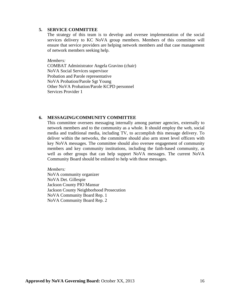#### **5. SERVICE COMMITTEE**

<span id="page-15-0"></span>The strategy of this team is to develop and oversee implementation of the social services delivery to KC NoVA group members. Members of this committee will ensure that service providers are helping network members and that case management of network members seeking help.

*Members:*

COMBAT Administrator Angela Gravino (chair) NoVA Social Services supervisor Probation and Parole representative NoVA Probation/Parole Sgt Young Other NoVA Probation/Parole KCPD personnel Services Provider 1

#### **6. MESSAGING/COMMUNITY COMMITTEE**

<span id="page-15-1"></span>This committee oversees messaging internally among partner agencies, externally to network members and to the community as a whole. It should employ the web, social media and traditional media, including TV, to accomplish this message delivery. To deliver within the networks, the committee should also arm street level officers with key NoVA messages. The committee should also oversee engagement of community members and key community institutions, including the faith-based community, as well as other groups that can help support NoVA messages. The current NoVA Community Board should be enlisted to help with those messages.

*Members:* NoVA community organizer NoVA Det. Gillespie Jackson County PIO Mansur Jackson County Neighborhood Prosecution NoVA Community Board Rep. 1 NoVA Community Board Rep. 2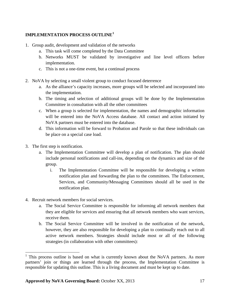#### <span id="page-16-0"></span>**IMPLEMENTATION PROCESS OUTLINE[1](#page-16-1)**

- 1. Group audit, development and validation of the networks
	- a. This task will come completed by the Data Committee
	- b. Networks MUST be validated by investigative and line level officers before implementation.
	- c. This is not a one-time event, but a continual process
- 2. NoVA by selecting a small violent group to conduct focused deterrence
	- a. As the alliance's capacity increases, more groups will be selected and incorporated into the implementation.
	- b. The timing and selection of additional groups will be done by the Implementation Committee in consultation with all the other committees
	- c. When a group is selected for implementation, the names and demographic information will be entered into the NoVA Access database. All contact and action initiated by NoVA partners must be entered into the database.
	- d. This information will be forward to Probation and Parole so that these individuals can be place on a special case load.
- 3. The first step is notification.
	- a. The Implementation Committee will develop a plan of notification. The plan should include personal notifications and call-ins, depending on the dynamics and size of the group.
		- i. The Implementation Committee will be responsible for developing a written notification plan and forwarding the plan to the committees. The Enforcement, Services, and Community/Messaging Committees should all be used in the notification plan.
- 4. Recruit network members for social services.
	- a. The Social Service Committee is responsible for informing all network members that they are eligible for services and ensuring that all network members who want services, receive them.
	- b. The Social Service Committee will be involved in the notification of the network, however, they are also responsible for developing a plan to continually reach out to all active network members. Strategies should include most or all of the following strategies (in collaboration with other committees):

<span id="page-16-1"></span> $1$  This process outline is based on what is currently known about the NoVA partners. As more partners' join or things are learned through the process, the Implementation Committee is responsible for updating this outline. This is a living document and must be kept up to date.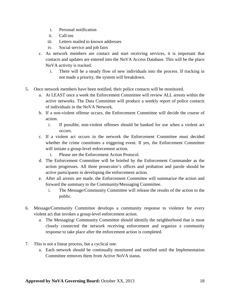- i. Personal notification
- ii. Call-ins
- iii. Letters mailed to known addresses
- iv. Social service and job fairs
- c. As network members are contact and start receiving services, it is important that contacts and updates are entered into the NoVA Access Database. This will be the place NoVA activity is tracked.
	- i. There will be a steady flow of new individuals into the process. If tracking in not made a priority, the system will breakdown.
- 5. Once network members have been notified, their police contacts will be monitored.
	- a. At LEAST once a week the Enforcement Committee will review ALL arrests within the active networks. The Data Committee will produce a weekly report of police contacts of individuals in the NoVA Network.
	- b. If a non-violent offense occurs, the Enforcement Committee will decide the course of action.
		- i. If possible, non-violent offenses should be banked for use when a violent act occurs.
	- c. If a violent act occurs in the network the Enforcement Committee must decided whether the crime constitutes a triggering event. If yes, the Enforcement Committee will initiate a group-level enforcement action.
		- i. Please see the Enforcement Action Protocol.
	- d. The Enforcement Committee will be briefed by the Enforcement Commander as the action progresses. All three prosecutor's offices and probation and parole should be active participants in developing the enforcement action.
	- e. After all arrests are made, the Enforcement Committee will summarize the action and forward the summary to the Community/Messaging Committee.
		- i. The Message/Community Committee will release the results of the action to the public.
- 6. Message/Community Committee develops a community response to violence for every violent act that invokes a group-level enforcement action.
	- a. The Messaging/ Community Committee should identify the neighborhood that is most closely connected the network receiving enforcement and organize a community response to take place after the enforcement action is completed.
- 7. This is not a linear process, but a cyclical one.
	- a. Each network should be continually monitored and notified until the Implementation Committee removes them from Active NoVA status.